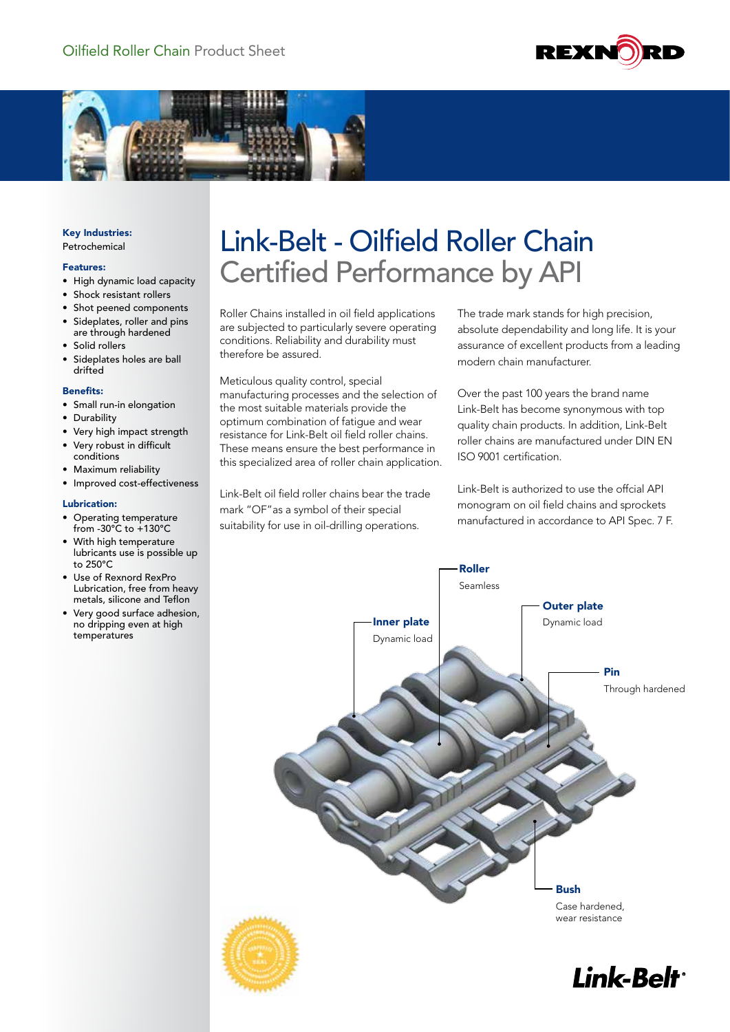



Key Industries: Petrochemical

### Features:

- High dynamic load capacity
- Shock resistant rollers
- Shot peened components
- Sideplates, roller and pins are through hardened
- Solid rollers
- Sideplates holes are ball drifted

#### Benefits:

- Small run-in elongation
- **Durability**
- Very high impact strength
- Very robust in difficult conditions
- Maximum reliability
- Improved cost-effectiveness

### Lubrication:

- Operating temperature from -30°C to +130°C
- With high temperature lubricants use is possible up to 250°C
- Use of Rexnord RexPro Lubrication, free from heavy metals, silicone and Teflon
- Very good surface adhesion, no dripping even at high temperatures

# Link-Belt - Oilfield Roller Chain Certified Performance by API

Roller Chains installed in oil field applications are subjected to particularly severe operating conditions. Reliability and durability must therefore be assured.

Meticulous quality control, special manufacturing processes and the selection of the most suitable materials provide the optimum combination of fatigue and wear resistance for Link-Belt oil field roller chains. These means ensure the best performance in this specialized area of roller chain application.

Link-Belt oil field roller chains bear the trade mark "OF"as a symbol of their special suitability for use in oil-drilling operations.

The trade mark stands for high precision, absolute dependability and long life. It is your assurance of excellent products from a leading modern chain manufacturer.

Over the past 100 years the brand name Link-Belt has become synonymous with top quality chain products. In addition, Link-Belt roller chains are manufactured under DIN EN ISO 9001 certification.

Link-Belt is authorized to use the offcial API monogram on oil field chains and sprockets manufactured in accordance to API Spec. 7 F.